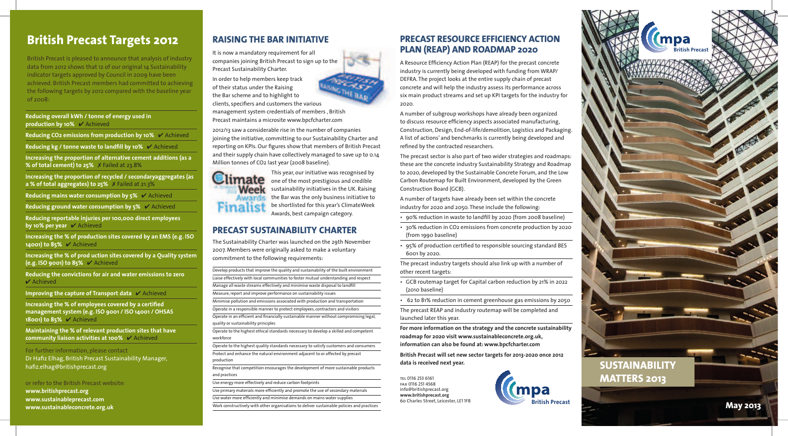## **PRECAST RESOURCE EFFICIENCY ACTION PLAN (REAP) AND ROADMAP 2020**

A Resource Efficiency Action Plan (REAP) for the precast concrete industry is currently being developed with funding from WRAP/ DEFRA. The project looks at the entire supply chain of precast concrete and will help the industry assess its performance across six main product streams and set up KPI targets for the industry for 2020.

A number of subgroup workshops have already been organized to discuss resource efficiency aspects associated manufacturing, Construction, Design, End-of-life/demolition, Logistics and Packaging. A list of actions' and benchmarks is currently being developed and refined by the contracted researchers.

The precast sector is also part of two wider strategies and roadmaps: these are the concrete industry Sustainability Strategy and Roadmap to 2020, developed by the Sustainable Concrete Forum, and the Low Carbon Routemap for Built Environment, developed by the Green Construction Board (GCB).

British Precast is pleased to announce that analysis of industry data from 2012 shows that 12 of our original 14 Sustainability indicator targets approved by Council in 2009 have been achieved. British Precast members had committed to achieving the following targets by 2012 compared with the baseline year  $of 2008$ :

> A number of targets have already been set within the concrete industry for 2020 and 2050. These include the following:

- 90% reduction in waste to landfill by 2020 (from 2008 baseline)
- 30% reduction in CO2 emissions from concrete production by 2020 (from 1990 baseline)
- 95% of production certified to responsible sourcing standard BES 6001 by 2020.

The precast industry targets should also link up with a number of other recent targets:

**Reducing reportable injuries per 100,000 direct employees by 10% per year ✓** Achieved

- GCB routemap target for Capital carbon reduction by 21% in 2022 (2010 baseline)
- 62 to 81% reduction in cement greenhouse gas emissions by 2050

The precast REAP and industry routemap will be completed and launched later this year.

**For more information on the strategy and the concrete sustainability roadmap for 2020 visit www.sustainableconcrete.org.uk, information can also be found at: www.bpcfcharter.com**

**British Precast will set new sector targets for 2013-2020 once 2012 data is received next year.** 

# **British Precast Targets 2012**

**Reducing overall kWh / tonne of energy used in production by 10%** ✔ Achieved

**Reducing CO2 emissions from production by 10%** ✔ Achieved

**Reducing kg / tonne waste to landfill by 10%** ✔ Achieved

**Increasing the proportion of alternative cement additions (as a % of total cement) to 25%** 7 Failed at 23.8%

**Increasing the proportion of recycled / secondaryaggregates (as a % of total aggregates) to 25%** 7 Failed at 21.3%

**Reducing mains water consumption by 5%** ✔ Achieved

**Reducing ground water consumption by 5%** ✔ Achieved

**Increasing the % of production sites covered by an EMS (e.g. ISO 14001) to 85%** ✔ Achieved

**Increasing the % of prod uction sites covered by a Quality system (e.g. ISO 9001) to 85%** ✔ Achieved

**Reducing the convictions for air and water emissions to zero**  ✔ Achieved

**Improving the capture of Transport data** ✔ Achieved

**Increasing the % of employees covered by a certified management system (e.g. ISO 9001 / ISO 14001 / OHSAS 18001) to 85%** ✔ Achieved

**Maintaining the % of relevant production sites that have community liaison activities at 100%** ✔ Achieved

For further information, please contact Dr Hafiz Elhag, British Precast Sustainability Manager, hafiz.elhag@britishprecast.org

or refer to the British Precast website: **www.britishprecast.org www.sustainableprecast.com www.sustainableconcrete.org.uk**

tel 0116 253 6161

info@britishprecast.org **www.britishprecast.org**

fax 0116 251 4568 60 Charles Street, Leicester, LE1 1FB

## **RAISING THE BAR INITIATIVE**

It is now a mandatory requirement for all companies joining British Precast to sign up to the Precast Sustainability Charter.

In order to help members keep track of their status under the Raising the Bar scheme and to highlight to

clients, specifiers and customers the various management system credentials of members , British Precast maintains a microsite www.bpcfcharter.com

2012/13 saw a considerable rise in the number of companies joining the initiative, committing to our Sustainability Charter and reporting on KPIs. Our figures show that members of British Precast and their supply chain have collectively managed to save up to 0.14 Million tonnes of CO2 last year (2008 baseline).



This year, our initiative was recognised by one of the most prestigious and credible sustainability initiatives in the UK. Raising **the Bar was the only business initiative to** be shortlisted for this year's ClimateWeek Awards, best campaign category.

## **PRECAST SUSTAINABILITY CHARTER**

The Sustainability Charter was launched on the 29th November 2007. Members were originally asked to make a voluntary commitment to the following requirements:

Develop products that improve the quality and sustainability of the built environment Liaise effectively with local communities to foster mutual understanding and respect Manage all waste streams effectively and minimise waste disposal to landfill Measure, report and improve performance on sustainability issues Minimise pollution and emissions associated with production and transportation Operate in a responsible manner to protect employees, contractors and visitors Operate in an efficient and financially sustainable manner without compromising legal, quality or sustainability principles Operate to the highest ethical standards necessary to develop a skilled and competent workforce Operate to the highest quality standards necessary to satisfy customers and consumers Protect and enhance the natural environment adjacent to or affected by precast production Recognise that competition encourages the development of more sustainable products and practices Use energy more effectively and reduce carbon footprints Use primary materials more efficiently and promote the use of secondary materials

Use water more efficiently and minimise demands on mains water supplies

Work constructively with other organisations to deliver sustainable policies and practices